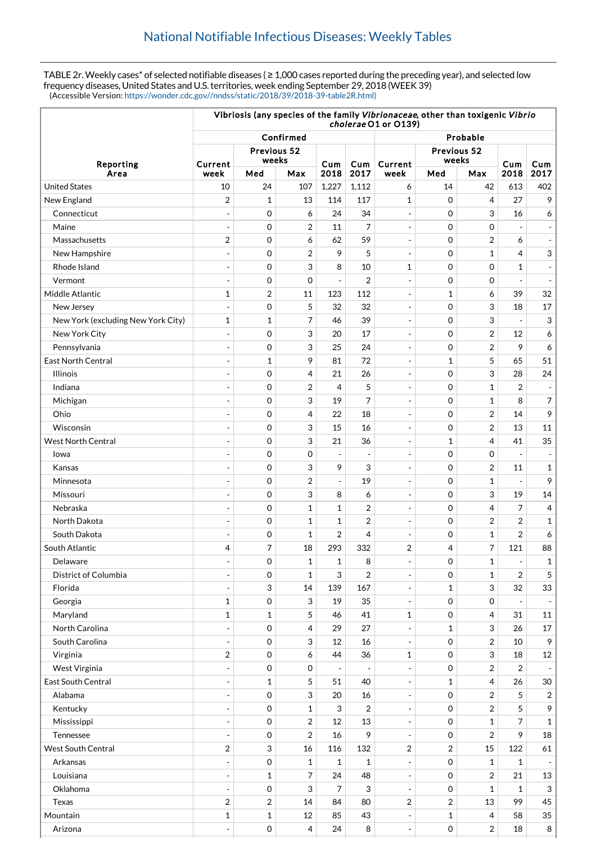TABLE 2r. Weekly cases\* of selected notifiable diseases ( ≥ 1,000 cases reported during the preceding year), and selected low frequency diseases, United States and U.S. territories, week ending September 29, 2018 (WEEK 39) (Accessible Version: [https://wonder.cdc.gov//nndss/static/2018/39/2018-39-table2R.html\)](https://wonder.cdc.gov//nndss/static/2018/39/2018-39-table2R.html)

|                                    | Vibriosis (any species of the family Vibrionaceae, other than toxigenic Vibrio<br>cholerae O1 or O139) |                           |                         |                          |                |                              |                      |                |                          |                |
|------------------------------------|--------------------------------------------------------------------------------------------------------|---------------------------|-------------------------|--------------------------|----------------|------------------------------|----------------------|----------------|--------------------------|----------------|
| Reporting                          | Confirmed                                                                                              |                           |                         |                          |                |                              | Probable             |                |                          |                |
|                                    | Current                                                                                                | Previous 52<br>weeks      |                         | Cum                      | Cum            | Current                      | Previous 52<br>weeks |                | Cum                      | Cum            |
| Area                               | week                                                                                                   | Med                       | Max                     | 2018                     | 2017           | week                         | Med                  | Max            | 2018                     | 2017           |
| <b>United States</b>               | 10                                                                                                     | 24                        | 107                     | 1,227                    | 1,112          | 6                            | 14                   | 42             | 613                      | 402            |
| New England                        | $\overline{2}$                                                                                         | $\mathbf{1}$              | 13                      | 114                      | 117            | 1                            | $\mathbf 0$          | 4              | 27                       | 9              |
| Connecticut                        |                                                                                                        | $\mathbf 0$               | 6                       | 24                       | 34             | $\overline{a}$               | $\mathbf 0$          | 3              | 16                       | 6              |
| Maine                              | $\overline{a}$                                                                                         | $\mathbf 0$               | 2                       | 11                       | 7              | $\blacksquare$               | $\mathbf 0$          | $\mathbf 0$    |                          |                |
| Massachusetts                      | $\overline{2}$                                                                                         | $\mathbf 0$               | 6                       | 62                       | 59             | $\overline{a}$               | $\mathbf 0$          | $\overline{2}$ | 6                        |                |
| New Hampshire                      | ÷                                                                                                      | $\mathbf 0$               | $\overline{2}$          | 9                        | 5              | $\overline{\phantom{a}}$     | $\mathbf 0$          | $\mathbf{1}$   | 4                        | 3              |
| Rhode Island                       | $\overline{a}$                                                                                         | $\mathbf 0$               | 3                       | 8                        | 10             | $\mathbf{1}$                 | $\mathbf 0$          | $\mathbf 0$    | 1                        |                |
| Vermont                            |                                                                                                        | $\mathbf 0$               | 0                       | $\overline{a}$           | $\overline{2}$ | $\overline{\phantom{a}}$     | 0                    | $\mathbf 0$    |                          |                |
| Middle Atlantic                    | $\mathbf{1}$                                                                                           | $\overline{2}$            | 11                      | 123                      | 112            | $\overline{a}$               | $\mathbf{1}$         | 6              | 39                       | 32             |
| New Jersey                         |                                                                                                        | $\mathbf 0$               | 5                       | 32                       | 32             | $\overline{\phantom{a}}$     | $\mathbf 0$          | 3              | 18                       | 17             |
| New York (excluding New York City) | $\mathbf{1}$                                                                                           | $\mathbf{1}$              | 7                       | 46                       | 39             | $\overline{\phantom{a}}$     | $\mathbf 0$          | 3              | $\overline{a}$           | 3              |
| New York City                      |                                                                                                        | $\mathbf 0$               | 3                       | 20                       | 17             | $\frac{1}{2}$                | $\mathbf 0$          | $\overline{2}$ | 12                       | 6              |
| Pennsylvania                       | $\overline{\phantom{a}}$                                                                               | $\mathbf 0$               | 3                       | 25                       | 24             | $\blacksquare$               | 0                    | 2              | 9                        | 6              |
| <b>East North Central</b>          | $\overline{a}$                                                                                         | $\mathbf{1}$              | 9                       | 81                       | 72             | $\frac{1}{2}$                | 1                    | 5              | 65                       | 51             |
| <b>Illinois</b>                    | $\overline{a}$                                                                                         | $\mathbf 0$               | 4                       | 21                       | 26             | $\overline{\phantom{a}}$     | $\mathbf 0$          | 3              | 28                       | 24             |
| Indiana                            | $\overline{a}$                                                                                         | $\mathbf 0$               | 2                       | 4                        | 5              | $\overline{a}$               | $\mathbf 0$          | 1              | 2                        |                |
| Michigan                           |                                                                                                        | $\mathbf 0$               | 3                       | 19                       | 7              | $\blacksquare$               | $\mathbf 0$          | $\mathbf{1}$   | 8                        | 7              |
| Ohio                               |                                                                                                        | $\mathbf 0$               | 4                       | 22                       | 18             | $\overline{\phantom{a}}$     | $\mathbf 0$          | $\overline{2}$ | 14                       | 9              |
| Wisconsin                          |                                                                                                        | $\mathbf 0$               | 3                       | 15                       | 16             | $\blacksquare$               | $\mathbf 0$          | 2              | 13                       | 11             |
| <b>West North Central</b>          |                                                                                                        | $\mathbf 0$               | 3                       | 21                       | 36             | $\overline{a}$               | 1                    | 4              | 41                       | 35             |
| Iowa                               |                                                                                                        | $\mathbf 0$               | 0                       |                          |                | $\overline{a}$               | $\mathbf 0$          | $\mathbf 0$    |                          |                |
| Kansas                             | $\overline{\phantom{a}}$                                                                               | $\mathbf 0$               | 3                       | 9                        | 3              | $\overline{\phantom{a}}$     | 0                    | $\overline{2}$ | 11                       | $\mathbf{1}$   |
| Minnesota                          |                                                                                                        | $\mathbf 0$               | $\overline{2}$          | $\overline{a}$           | 19             | $\overline{\phantom{a}}$     | 0                    | $\mathbf{1}$   |                          | 9              |
| Missouri                           | ÷                                                                                                      | $\mathbf 0$               | 3                       | 8                        | 6              | $\overline{\phantom{a}}$     | 0                    | 3              | 19                       | 14             |
| Nebraska                           |                                                                                                        | $\mathbf 0$               | 1                       | 1                        | $\overline{2}$ | $\frac{1}{2}$                | $\mathbf 0$          | 4              | 7                        | 4              |
| North Dakota                       |                                                                                                        | $\mathbf 0$               | $\mathbf 1$             | 1                        | $\overline{2}$ | $\blacksquare$               | 0                    | 2              | 2                        | 1              |
| South Dakota                       | $\overline{a}$                                                                                         | 0                         | 1                       | 2                        | 4              | $\overline{a}$               | $\mathbf 0$          | $\mathbf{1}$   | $\overline{2}$           | 6              |
| South Atlantic                     | $\overline{4}$                                                                                         | $\overline{7}$            | 18                      | 293                      | 332            | $\overline{2}$               | 4                    | 7              | 121                      | 88             |
| Delaware                           | $\qquad \qquad \blacksquare$                                                                           | 0                         | 1                       | 1                        | 8              | $\overline{\phantom{a}}$     | 0                    | 1              | $\overline{\phantom{a}}$ | 1              |
| District of Columbia               |                                                                                                        | $\mathbf 0$               | $\mathbf 1$             | 3                        | 2              | $\overline{a}$               | $\mathbf 0$          | $\mathbf{1}$   | $\overline{2}$           | 5              |
| Florida                            | $\overline{a}$                                                                                         | 3                         | 14                      | 139                      | 167            | $\overline{a}$               | $\mathbf{1}$         | 3              | 32                       | 33             |
| Georgia                            | $\mathbf{1}$                                                                                           | $\mathbf 0$               | 3                       | 19                       | 35             | $\blacksquare$               | 0                    | 0              |                          |                |
| Maryland                           | $\mathbf{1}$                                                                                           | $\mathbf{1}$              | 5                       | 46                       | 41             | 1                            | 0                    | 4              | 31                       | $11\,$         |
| North Carolina                     |                                                                                                        | $\mathbf 0$               | 4                       | 29                       | 27             |                              | $\mathbf{1}$         | 3              | 26                       | 17             |
| South Carolina                     | $\overline{\phantom{a}}$                                                                               | 0                         | 3                       | 12                       | 16             |                              | $\mathbf 0$          | $\overline{2}$ | 10                       | 9              |
| Virginia                           | $\boldsymbol{2}$                                                                                       | 0                         | 6                       | 44                       | 36             | 1                            | 0                    | 3              | 18                       | $12\,$         |
| West Virginia                      | $\overline{\phantom{a}}$                                                                               | 0                         | 0                       | $\overline{\phantom{a}}$ | $\overline{a}$ | $\frac{1}{2}$                | 0                    | 2              | 2                        |                |
| East South Central                 | $\overline{a}$                                                                                         | $\mathbf{1}$              | 5                       | 51                       | 40             | $\overline{a}$               | 1                    | 4              | 26                       | 30             |
| Alabama                            | $\blacksquare$                                                                                         | $\mathbf 0$               | 3                       | 20                       | 16             | $\overline{\phantom{0}}$     | $\mathbf 0$          | $\overline{2}$ | 5                        | $\overline{2}$ |
| Kentucky                           | $\overline{\phantom{a}}$                                                                               | 0                         | $\mathbf 1$             | 3                        | 2              | $\overline{\phantom{a}}$     | $\mathsf{O}\xspace$  | $\overline{2}$ | 5                        | 9              |
| Mississippi                        | $\blacksquare$                                                                                         | 0                         | $\overline{\mathbf{c}}$ | 12                       | 13             | $\overline{\phantom{a}}$     | 0                    | $\mathbf 1$    | 7                        | 1              |
| Tennessee                          | $\overline{\phantom{a}}$                                                                               | 0                         | $\overline{2}$          | 16                       | 9              |                              | 0                    | $\overline{2}$ | 9                        | 18             |
| <b>West South Central</b>          | $\overline{2}$                                                                                         | $\ensuremath{\mathsf{3}}$ | 16                      | 116                      | 132            | 2                            | $\overline{2}$       | 15             | 122                      | 61             |
| Arkansas                           | $\blacksquare$                                                                                         | $\mathbf 0$               | 1                       | $\mathbf{1}$             | 1              |                              | 0                    | $\mathbf{1}$   | $\mathbf{1}$             |                |
| Louisiana                          | $\overline{a}$                                                                                         | $\mathbf{1}$              | 7                       | 24                       | 48             | $\blacksquare$               | 0                    | 2              | 21                       | 13             |
| Oklahoma                           | $\blacksquare$                                                                                         | 0                         | 3                       | 7                        | 3              | $\overline{\phantom{a}}$     | 0                    | $\mathbf 1$    | $\mathbf{1}$             | $\mathbf{3}$   |
| Texas                              | $\overline{2}$                                                                                         | $\overline{2}$            | 14                      | 84                       | 80             | 2                            | 2                    | 13             | 99                       | 45             |
| Mountain                           | $\mathbf{1}$                                                                                           | $\mathbf 1$               | 12                      | 85                       | 43             |                              | $\mathbf 1$          | 4              | 58                       | 35             |
| Arizona                            | $\frac{1}{2}$                                                                                          | 0                         | 4                       | 24                       | 8              | $\qquad \qquad \blacksquare$ | 0                    | 2              | 18                       | 8              |
|                                    |                                                                                                        |                           |                         |                          |                |                              |                      |                |                          |                |